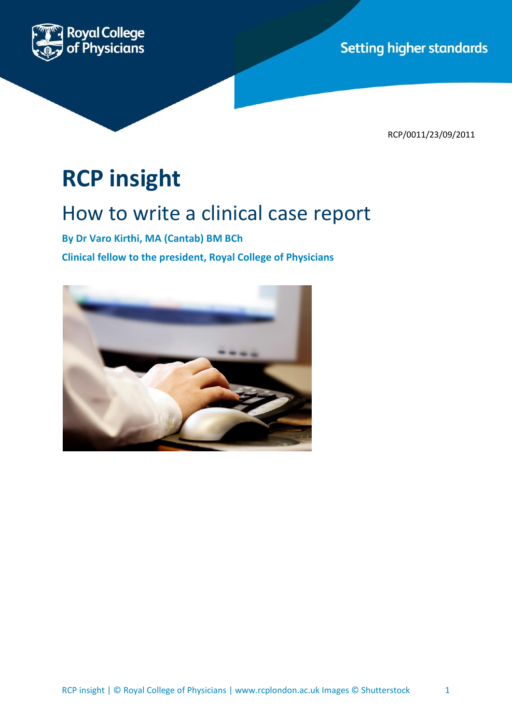**Setting higher standards** 



RCP/0011/23/09/2011

# **RCP insight**

# How to write a clinical case report

**By Dr Varo Kirthi, MA (Cantab) BM BCh Clinical fellow to the president, Royal College of Physicians** 

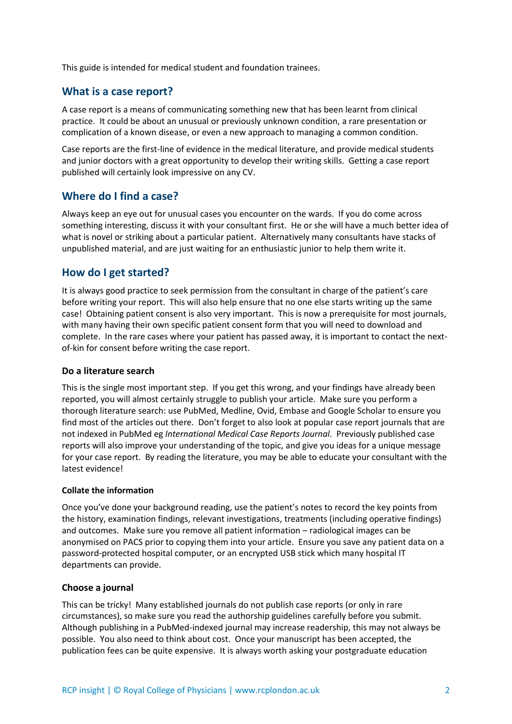This guide is intended for medical student and foundation trainees.

### **What is a case report?**

A case report is a means of communicating something new that has been learnt from clinical practice. It could be about an unusual or previously unknown condition, a rare presentation or complication of a known disease, or even a new approach to managing a common condition.

Case reports are the first-line of evidence in the medical literature, and provide medical students and junior doctors with a great opportunity to develop their writing skills. Getting a case report published will certainly look impressive on any CV.

# **Where do I find a case?**

Always keep an eye out for unusual cases you encounter on the wards. If you do come across something interesting, discuss it with your consultant first. He or she will have a much better idea of what is novel or striking about a particular patient. Alternatively many consultants have stacks of unpublished material, and are just waiting for an enthusiastic junior to help them write it.

# **How do I get started?**

It is always good practice to seek permission from the consultant in charge of the patient's care before writing your report. This will also help ensure that no one else starts writing up the same case! Obtaining patient consent is also very important. This is now a prerequisite for most journals, with many having their own specific patient consent form that you will need to download and complete. In the rare cases where your patient has passed away, it is important to contact the nextof-kin for consent before writing the case report.

#### **Do a literature search**

This is the single most important step. If you get this wrong, and your findings have already been reported, you will almost certainly struggle to publish your article. Make sure you perform a thorough literature search: use PubMed, Medline, Ovid, Embase and Google Scholar to ensure you find most of the articles out there. Don't forget to also look at popular case report journals that are not indexed in PubMed eg *International Medical Case Reports Journal*. Previously published case reports will also improve your understanding of the topic, and give you ideas for a unique message for your case report. By reading the literature, you may be able to educate your consultant with the latest evidence!

#### **Collate the information**

Once you've done your background reading, use the patient's notes to record the key points from the history, examination findings, relevant investigations, treatments (including operative findings) and outcomes. Make sure you remove all patient information – radiological images can be anonymised on PACS prior to copying them into your article. Ensure you save any patient data on a password-protected hospital computer, or an encrypted USB stick which many hospital IT departments can provide.

#### **Choose a journal**

This can be tricky! Many established journals do not publish case reports (or only in rare circumstances), so make sure you read the authorship guidelines carefully before you submit. Although publishing in a PubMed-indexed journal may increase readership, this may not always be possible. You also need to think about cost. Once your manuscript has been accepted, the publication fees can be quite expensive. It is always worth asking your postgraduate education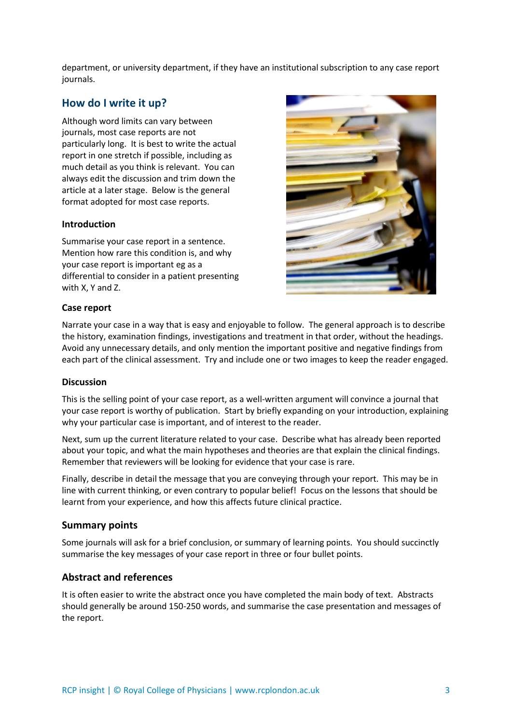department, or university department, if they have an institutional subscription to any case report journals.

# **How do I write it up?**

Although word limits can vary between journals, most case reports are not particularly long. It is best to write the actual report in one stretch if possible, including as much detail as you think is relevant. You can always edit the discussion and trim down the article at a later stage. Below is the general format adopted for most case reports.

#### **Introduction**

Summarise your case report in a sentence. Mention how rare this condition is, and why your case report is important eg as a differential to consider in a patient presenting with X, Y and Z.



#### **Case report**

Narrate your case in a way that is easy and enjoyable to follow. The general approach is to describe the history, examination findings, investigations and treatment in that order, without the headings. Avoid any unnecessary details, and only mention the important positive and negative findings from each part of the clinical assessment. Try and include one or two images to keep the reader engaged.

#### **Discussion**

This is the selling point of your case report, as a well-written argument will convince a journal that your case report is worthy of publication. Start by briefly expanding on your introduction, explaining why your particular case is important, and of interest to the reader.

Next, sum up the current literature related to your case. Describe what has already been reported about your topic, and what the main hypotheses and theories are that explain the clinical findings. Remember that reviewers will be looking for evidence that your case is rare.

Finally, describe in detail the message that you are conveying through your report. This may be in line with current thinking, or even contrary to popular belief! Focus on the lessons that should be learnt from your experience, and how this affects future clinical practice.

#### **Summary points**

Some journals will ask for a brief conclusion, or summary of learning points. You should succinctly summarise the key messages of your case report in three or four bullet points.

#### **Abstract and references**

It is often easier to write the abstract once you have completed the main body of text. Abstracts should generally be around 150-250 words, and summarise the case presentation and messages of the report.